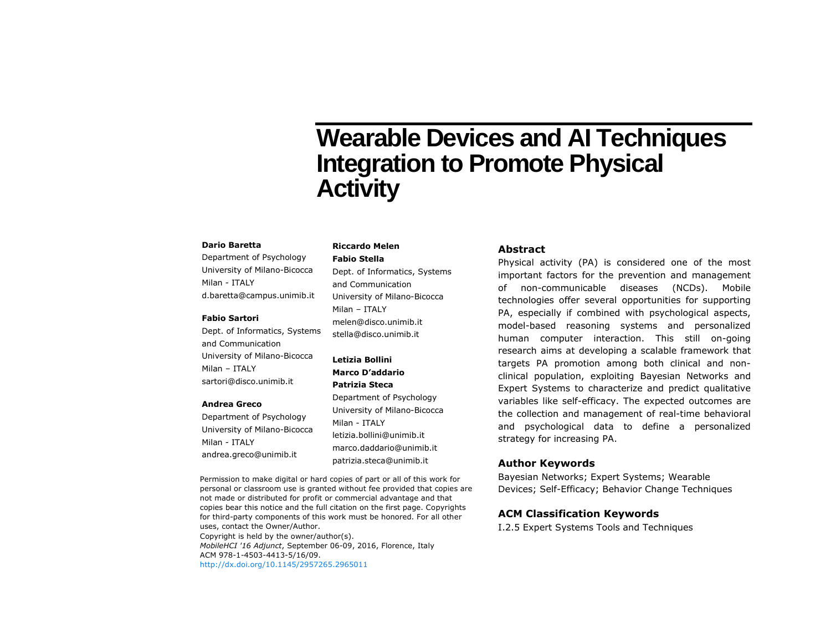# **Wearable Devices and AI Techniques Integration to Promote Physical Activity**

#### **Dario Baretta**

Department of Psychology University of Milano-Bicocca Milan - ITALY d.baretta@campus.unimib.it

#### **Fabio Sartori**

Dept. of Informatics, Systems and Communication University of Milano-Bicocca Milan – ITALY sartori@disco.unimib.it

#### **Andrea Greco**

Department of Psychology University of Milano-Bicocca Milan - ITALY andrea.greco@unimib.it

**Riccardo Melen Fabio Stella**

Dept. of Informatics, Systems and Communication University of Milano-Bicocca Milan – ITALY melen@disco.unimib.it stella@disco.unimib.it

**Letizia Bollini Marco D'addario Patrizia Steca** Department of Psychology University of Milano-Bicocca Milan - ITALY letizia.bollini@unimib.it marco.daddario@unimib.it patrizia.steca@unimib.it

## **Abstract**

Physical activity (PA) is considered one of the most important factors for the prevention and management of non-communicable diseases (NCDs). Mobile technologies offer several opportunities for supporting PA, especially if combined with psychological aspects, model-based reasoning systems and personalized human computer interaction. This still on-going research aims at developing a scalable framework that targets PA promotion among both clinical and nonclinical population, exploiting Bayesian Networks and Expert Systems to characterize and predict qualitative variables like self-efficacy. The expected outcomes are the collection and management of real-time behavioral and psychological data to define a personalized strategy for increasing PA.

#### **Author Keywords**

Bayesian Networks; Expert Systems; Wearable Devices; Self-Efficacy; Behavior Change Techniques

#### **ACM Classification Keywords**

I.2.5 Expert Systems Tools and Techniques

personal or classroom use is granted without fee provided that copies are not made or distributed for profit or commercial advantage and that copies bear this notice and the full citation on the first page. Copyrights for third-party components of this work must be honored. For all other uses, contact the Owner/Author. Copyright is held by the owner/author(s). *MobileHCI '16 Adjunct*, September 06-09, 2016, Florence, Italy ACM 978-1-4503-4413-5/16/09. <http://dx.doi.org/10.1145/2957265.2965011>

Permission to make digital or hard copies of part or all of this work for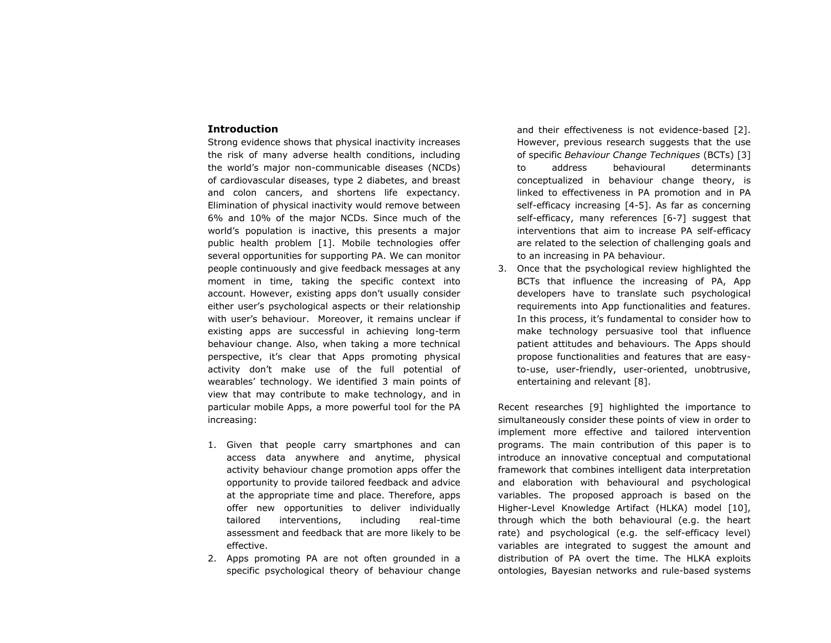### **Introduction**

Strong evidence shows that physical inactivity increases the risk of many adverse health conditions, including the world's major non-communicable diseases (NCDs) of cardiovascular diseases, type 2 diabetes, and breast and colon cancers, and shortens life expectancy. Elimination of physical inactivity would remove between 6% and 10% of the major NCDs. Since much of the world's population is inactive, this presents a major public health problem [1]. Mobile technologies offer several opportunities for supporting PA. We can monitor people continuously and give feedback messages at any moment in time, taking the specific context into account. However, existing apps don't usually consider either user's psychological aspects or their relationship with user's behaviour. Moreover, it remains unclear if existing apps are successful in achieving long-term behaviour change. Also, when taking a more technical perspective, it's clear that Apps promoting physical activity don't make use of the full potential of wearables' technology. We identified 3 main points of view that may contribute to make technology, and in particular mobile Apps, a more powerful tool for the PA increasing:

- 1. Given that people carry smartphones and can access data anywhere and anytime, physical activity behaviour change promotion apps offer the opportunity to provide tailored feedback and advice at the appropriate time and place. Therefore, apps offer new opportunities to deliver individually tailored interventions, including real-time assessment and feedback that are more likely to be effective.
- 2. Apps promoting PA are not often grounded in a specific psychological theory of behaviour change

and their effectiveness is not evidence-based [2]. However, previous research suggests that the use of specific *Behaviour Change Techniques* (BCTs) [3] to address behavioural determinants conceptualized in behaviour change theory, is linked to effectiveness in PA promotion and in PA self-efficacy increasing [4-5]. As far as concerning self-efficacy, many references [6-7] suggest that interventions that aim to increase PA self-efficacy are related to the selection of challenging goals and to an increasing in PA behaviour.

3. Once that the psychological review highlighted the BCTs that influence the increasing of PA, App developers have to translate such psychological requirements into App functionalities and features. In this process, it's fundamental to consider how to make technology persuasive tool that influence patient attitudes and behaviours. The Apps should propose functionalities and features that are easyto-use, user-friendly, user-oriented, unobtrusive, entertaining and relevant [8].

Recent researches [9] highlighted the importance to simultaneously consider these points of view in order to implement more effective and tailored intervention programs. The main contribution of this paper is to introduce an innovative conceptual and computational framework that combines intelligent data interpretation and elaboration with behavioural and psychological variables. The proposed approach is based on the Higher-Level Knowledge Artifact (HLKA) model [10], through which the both behavioural (e.g. the heart rate) and psychological (e.g. the self-efficacy level) variables are integrated to suggest the amount and distribution of PA overt the time. The HLKA exploits ontologies, Bayesian networks and rule-based systems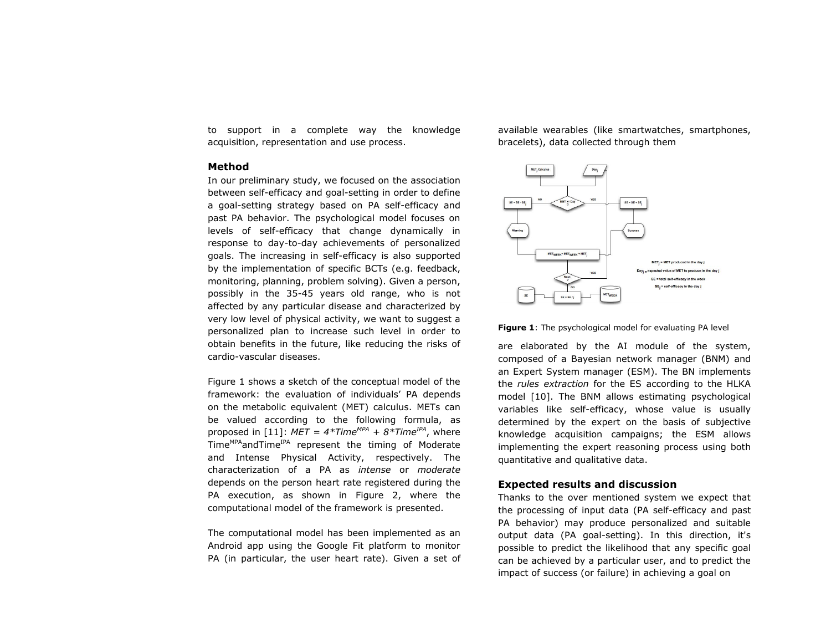to support in a complete way the knowledge acquisition, representation and use process.

## **Method**

In our preliminary study, we focused on the association between self-efficacy and goal-setting in order to define a goal-setting strategy based on PA self-efficacy and past PA behavior. The psychological model focuses on levels of self-efficacy that change dynamically in response to day-to-day achievements of personalized goals. The increasing in self-efficacy is also supported by the implementation of specific BCTs (e.g. feedback, monitoring, planning, problem solving). Given a person, possibly in the 35-45 years old range, who is not affected by any particular disease and characterized by very low level of physical activity, we want to suggest a personalized plan to increase such level in order to obtain benefits in the future, like reducing the risks of cardio-vascular diseases.

[Figure 1](#page-2-0) shows a sketch of the conceptual model of the framework: the evaluation of individuals' PA depends on the metabolic equivalent (MET) calculus. METs can be valued according to the following formula, as proposed in [11]:  $MET = 4*Time^{MPA} + 8*Time^{IPA}$ , where Time<sup>MPA</sup>andTime<sup>IPA</sup> represent the timing of Moderate and Intense Physical Activity, respectively. The characterization of a PA as *intense* or *moderate* depends on the person heart rate registered during the PA execution, as shown in [Figure 2,](#page-3-0) where the computational model of the framework is presented.

The computational model has been implemented as an Android app using the Google Fit platform to monitor PA (in particular, the user heart rate). Given a set of available wearables (like smartwatches, smartphones, bracelets), data collected through them



<span id="page-2-0"></span>**Figure 1:** The psychological model for evaluating PA level

are elaborated by the AI module of the system, composed of a Bayesian network manager (BNM) and an Expert System manager (ESM). The BN implements the *rules extraction* for the ES according to the HLKA model [10]. The BNM allows estimating psychological variables like self-efficacy, whose value is usually determined by the expert on the basis of subjective knowledge acquisition campaigns; the ESM allows implementing the expert reasoning process using both quantitative and qualitative data.

### **Expected results and discussion**

Thanks to the over mentioned system we expect that the processing of input data (PA self-efficacy and past PA behavior) may produce personalized and suitable output data (PA goal-setting). In this direction, it's possible to predict the likelihood that any specific goal can be achieved by a particular user, and to predict the impact of success (or failure) in achieving a goal on